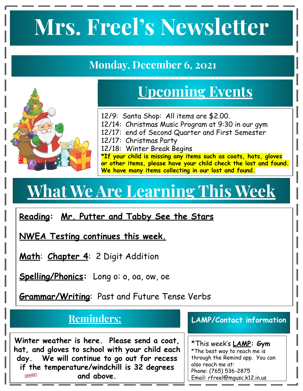# **Mrs. Freel's Newsletter**

#### **Monday, December 6, 2021**



### **Upcoming Events**

12/9: Santa Shop: All items are \$2.00.

- 12/14: Christmas Music Program at 9:30 in our gym
- 12/17: end of Second Quarter and First Semester
- 12/17: Christmas Party
- 12/18: Winter Break Begins

**\*If your child is missing any items such as coats, hats, gloves or other items, please have your child check the lost and found. We have many items collecting in our lost and found.**

## **What We Are Learning This Week**

#### **Reading: Mr. Putter and Tabby See the Stars**

**NWEA Testing continues this week.** 

**Math**: **Chapter 4**: 2 Digit Addition

**Spelling/Phonics:** Long o: o, oa, ow, oe

**Grammar/Writing**: Past and Future Tense Verbs

#### **Reminders:**

**Winter weather is here. Please send a coat, hat, and gloves to school with your child each day. We will continue to go out for recess if the temperature/windchill is 32 degrees**  REMINDER **and above.** 

#### **LAMP/Contact information**

\*This week's **LAMP: Gym** \*The best way to reach me is through the Remind app. You can also reach me at: Phone: (765) 536-2875 Email: rfreel@mgusc.k12.in.us